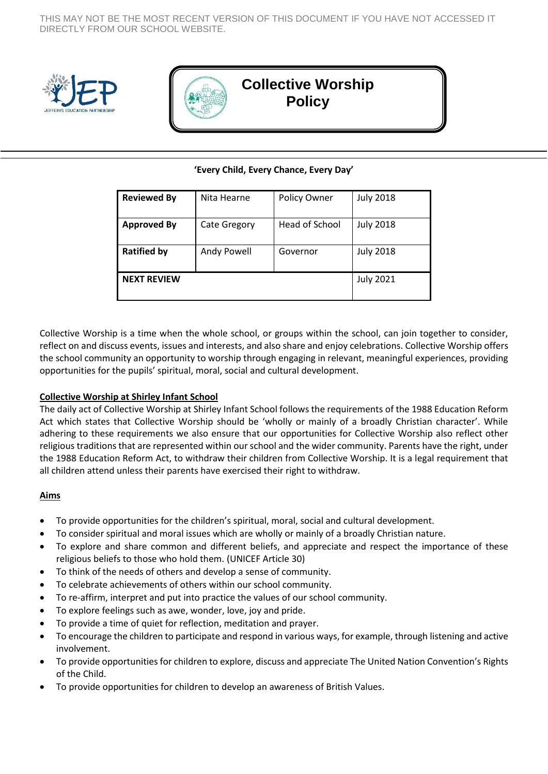THIS MAY NOT BE THE MOST RECENT VERSION OF THIS DOCUMENT IF YOU HAVE NOT ACCESSED IT DIRECTLY FROM OUR SCHOOL WEBSITE.





# **Collective Worship Policy**

# **'Every Child, Every Chance, Every Day'**

| <b>Reviewed By</b> | Nita Hearne         | Policy Owner   | <b>July 2018</b> |
|--------------------|---------------------|----------------|------------------|
| <b>Approved By</b> | <b>Cate Gregory</b> | Head of School | <b>July 2018</b> |
| <b>Ratified by</b> | Andy Powell         | Governor       | <b>July 2018</b> |
| <b>NEXT REVIEW</b> |                     |                | <b>July 2021</b> |

Collective Worship is a time when the whole school, or groups within the school, can join together to consider, reflect on and discuss events, issues and interests, and also share and enjoy celebrations. Collective Worship offers the school community an opportunity to worship through engaging in relevant, meaningful experiences, providing opportunities for the pupils' spiritual, moral, social and cultural development.

## **Collective Worship at Shirley Infant School**

The daily act of Collective Worship at Shirley Infant School follows the requirements of the 1988 Education Reform Act which states that Collective Worship should be 'wholly or mainly of a broadly Christian character'. While adhering to these requirements we also ensure that our opportunities for Collective Worship also reflect other religious traditions that are represented within ourschool and the wider community. Parents have the right, under the 1988 Education Reform Act, to withdraw their children from Collective Worship. It is a legal requirement that all children attend unless their parents have exercised their right to withdraw.

## **Aims**

- To provide opportunities for the children's spiritual, moral, social and cultural development.
- To consider spiritual and moral issues which are wholly or mainly of a broadly Christian nature.
- To explore and share common and different beliefs, and appreciate and respect the importance of these religious beliefs to those who hold them. (UNICEF Article 30)
- To think of the needs of others and develop a sense of community.
- To celebrate achievements of others within our school community.
- To re-affirm, interpret and put into practice the values of our school community.
- To explore feelings such as awe, wonder, love, joy and pride.
- To provide a time of quiet for reflection, meditation and prayer.
- To encourage the children to participate and respond in various ways, for example, through listening and active involvement.
- To provide opportunities for children to explore, discuss and appreciate The United Nation Convention's Rights of the Child.
- To provide opportunities for children to develop an awareness of British Values.